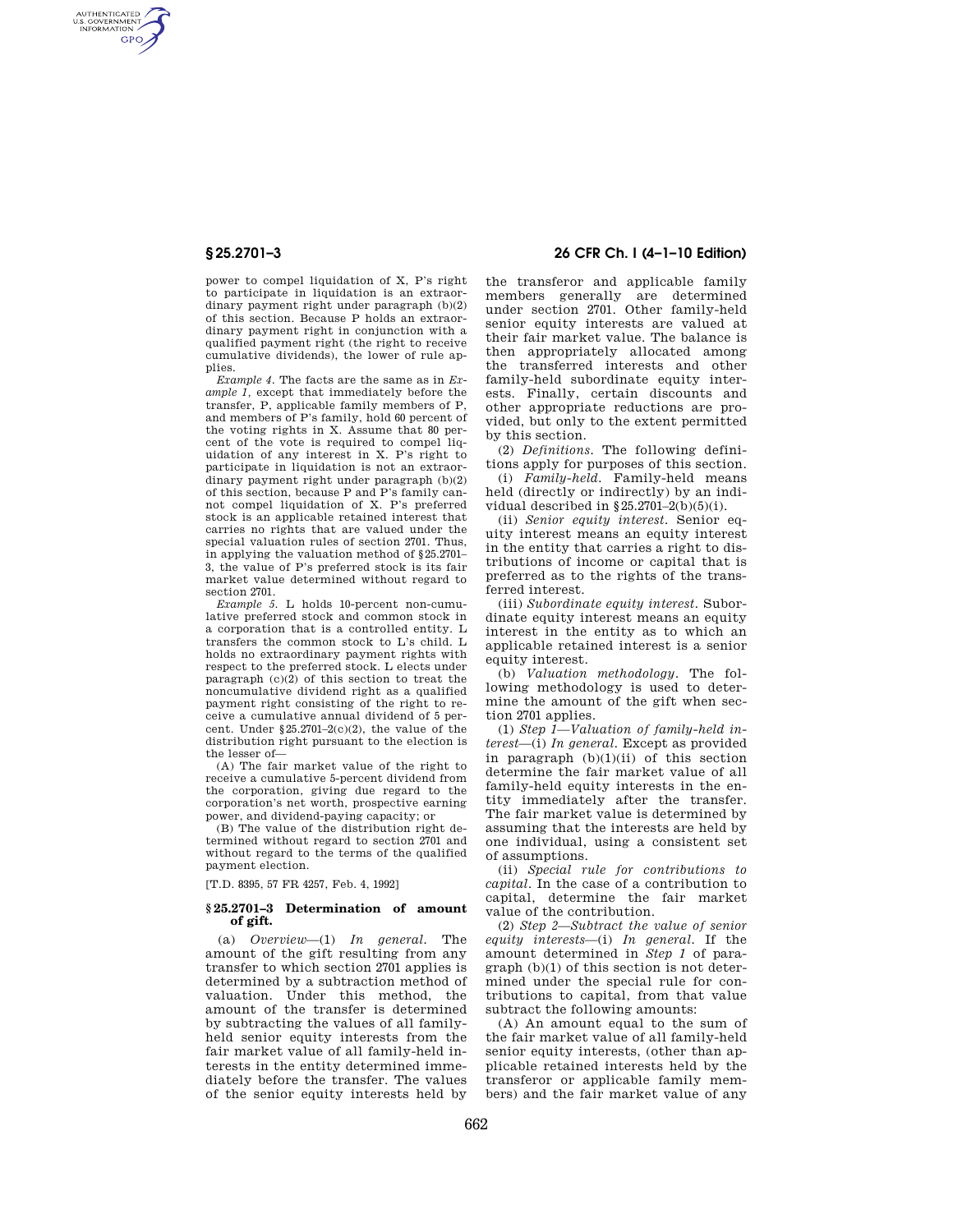AUTHENTICATED<br>U.S. GOVERNMENT<br>INFORMATION **GPO** 

> power to compel liquidation of X, P's right to participate in liquidation is an extraordinary payment right under paragraph (b)(2) of this section. Because P holds an extraordinary payment right in conjunction with a qualified payment right (the right to receive cumulative dividends), the lower of rule applies.

> *Example 4.* The facts are the same as in *Example 1,* except that immediately before the transfer, P, applicable family members of P, and members of P's family, hold 60 percent of the voting rights in X. Assume that 80 percent of the vote is required to compel liquidation of any interest in X. P's right to participate in liquidation is not an extraordinary payment right under paragraph (b)(2) of this section, because P and P's family cannot compel liquidation of X. P's preferred stock is an applicable retained interest that carries no rights that are valued under the special valuation rules of section 2701. Thus, in applying the valuation method of §25.2701– 3, the value of P's preferred stock is its fair market value determined without regard to section 2701.

> *Example 5.* L holds 10-percent non-cumulative preferred stock and common stock in a corporation that is a controlled entity. L transfers the common stock to L's child. L holds no extraordinary payment rights with respect to the preferred stock. L elects under paragraph (c)(2) of this section to treat the noncumulative dividend right as a qualified payment right consisting of the right to receive a cumulative annual dividend of 5 percent. Under §25.2701–2(c)(2), the value of the distribution right pursuant to the election is the lesser of—

> (A) The fair market value of the right to receive a cumulative 5-percent dividend from the corporation, giving due regard to the corporation's net worth, prospective earning power, and dividend-paying capacity; or

> (B) The value of the distribution right determined without regard to section 2701 and without regard to the terms of the qualified payment election.

[T.D. 8395, 57 FR 4257, Feb. 4, 1992]

## **§ 25.2701–3 Determination of amount of gift.**

(a) *Overview*—(1) *In general.* The amount of the gift resulting from any transfer to which section 2701 applies is determined by a subtraction method of valuation. Under this method, the amount of the transfer is determined by subtracting the values of all familyheld senior equity interests from the fair market value of all family-held interests in the entity determined immediately before the transfer. The values of the senior equity interests held by

## **§ 25.2701–3 26 CFR Ch. I (4–1–10 Edition)**

the transferor and applicable family members generally are determined under section 2701. Other family-held senior equity interests are valued at their fair market value. The balance is then appropriately allocated among the transferred interests and other family-held subordinate equity interests. Finally, certain discounts and other appropriate reductions are provided, but only to the extent permitted by this section.

(2) *Definitions.* The following definitions apply for purposes of this section.

(i) *Family-held.* Family-held means held (directly or indirectly) by an individual described in  $§25.2701-2(b)(5)(i)$ .

(ii) *Senior equity interest.* Senior equity interest means an equity interest in the entity that carries a right to distributions of income or capital that is preferred as to the rights of the transferred interest.

(iii) *Subordinate equity interest.* Subordinate equity interest means an equity interest in the entity as to which an applicable retained interest is a senior equity interest.

(b) *Valuation methodology.* The following methodology is used to determine the amount of the gift when section 2701 applies.

(1) *Step 1—Valuation of family-held interest*—(i) *In general.* Except as provided in paragraph  $(b)(1)(ii)$  of this section determine the fair market value of all family-held equity interests in the entity immediately after the transfer. The fair market value is determined by assuming that the interests are held by one individual, using a consistent set of assumptions.

(ii) *Special rule for contributions to capital.* In the case of a contribution to capital, determine the fair market value of the contribution.

(2) *Step 2*—*Subtract the value of senior equity interests*—(i) *In general.* If the amount determined in *Step 1* of paragraph (b)(1) of this section is not determined under the special rule for contributions to capital, from that value subtract the following amounts:

(A) An amount equal to the sum of the fair market value of all family-held senior equity interests, (other than applicable retained interests held by the transferor or applicable family members) and the fair market value of any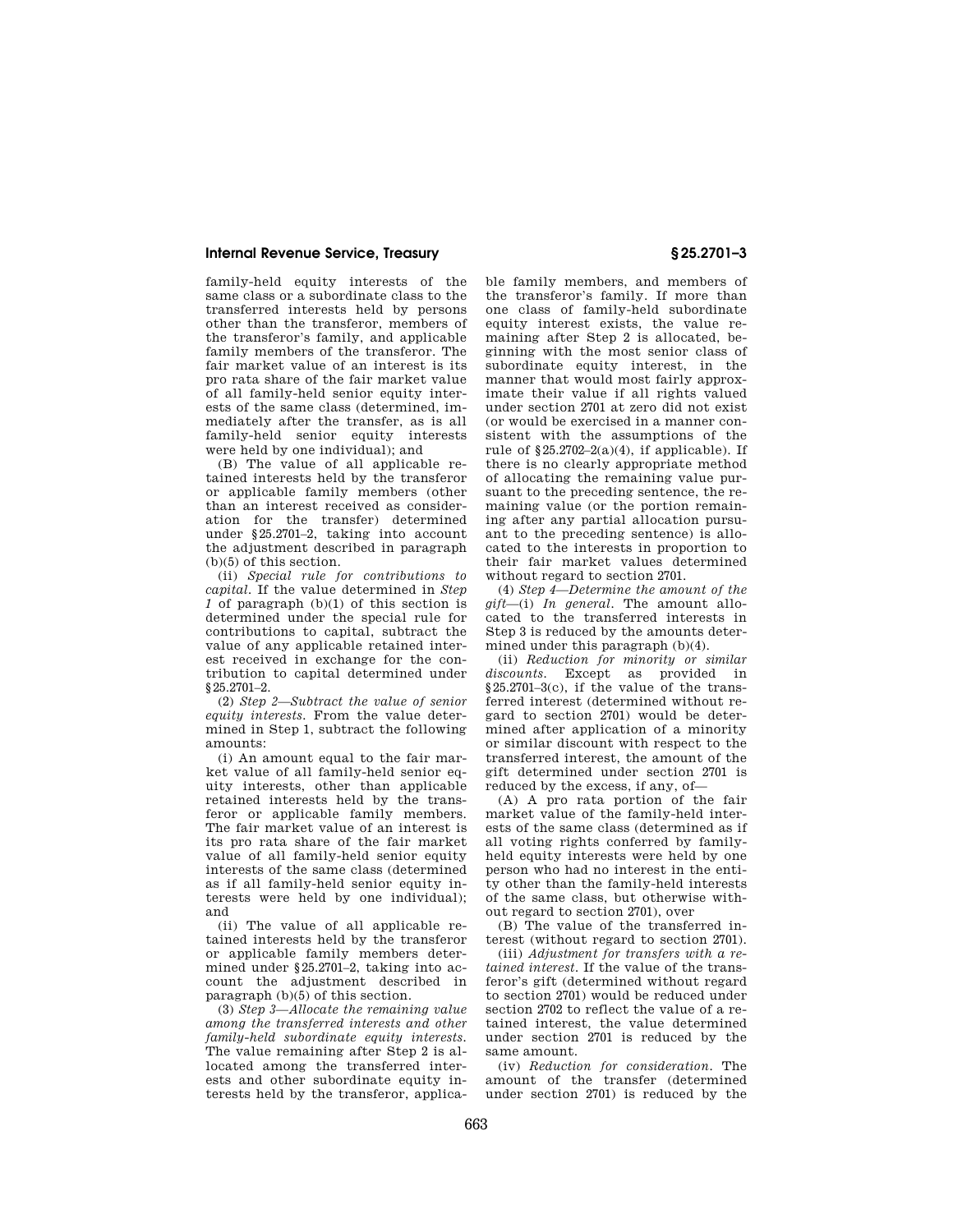### **Internal Revenue Service, Treasury § 25.2701–3**

family-held equity interests of the same class or a subordinate class to the transferred interests held by persons other than the transferor, members of the transferor's family, and applicable family members of the transferor. The fair market value of an interest is its pro rata share of the fair market value of all family-held senior equity interests of the same class (determined, immediately after the transfer, as is all family-held senior equity interests were held by one individual); and

(B) The value of all applicable retained interests held by the transferor or applicable family members (other than an interest received as consideration for the transfer) determined under §25.2701–2, taking into account the adjustment described in paragraph (b)(5) of this section.

(ii) *Special rule for contributions to capital.* If the value determined in *Step 1* of paragraph (b)(1) of this section is determined under the special rule for contributions to capital, subtract the value of any applicable retained interest received in exchange for the contribution to capital determined under §25.2701–2.

(2) *Step 2—Subtract the value of senior equity interests.* From the value determined in Step 1, subtract the following amounts:

(i) An amount equal to the fair market value of all family-held senior equity interests, other than applicable retained interests held by the transferor or applicable family members. The fair market value of an interest is its pro rata share of the fair market value of all family-held senior equity interests of the same class (determined as if all family-held senior equity interests were held by one individual); and

(ii) The value of all applicable retained interests held by the transferor or applicable family members determined under §25.2701–2, taking into account the adjustment described in paragraph (b)(5) of this section.

(3) *Step 3—Allocate the remaining value among the transferred interests and other family-held subordinate equity interests.*  The value remaining after Step 2 is allocated among the transferred interests and other subordinate equity interests held by the transferor, applicable family members, and members of the transferor's family. If more than one class of family-held subordinate equity interest exists, the value remaining after Step 2 is allocated, beginning with the most senior class of subordinate equity interest, in the manner that would most fairly approximate their value if all rights valued under section 2701 at zero did not exist (or would be exercised in a manner consistent with the assumptions of the rule of  $$25.2702-2(a)(4)$ , if applicable). If there is no clearly appropriate method of allocating the remaining value pursuant to the preceding sentence, the remaining value (or the portion remaining after any partial allocation pursuant to the preceding sentence) is allocated to the interests in proportion to their fair market values determined without regard to section 2701.

(4) *Step 4—Determine the amount of the gift*—(i) *In general.* The amount allocated to the transferred interests in Step 3 is reduced by the amounts determined under this paragraph (b)(4).

(ii) *Reduction for minority or similar discounts.* Except as provided in §25.2701–3(c), if the value of the transferred interest (determined without regard to section 2701) would be determined after application of a minority or similar discount with respect to the transferred interest, the amount of the gift determined under section 2701 is reduced by the excess, if any, of—

(A) A pro rata portion of the fair market value of the family-held interests of the same class (determined as if all voting rights conferred by familyheld equity interests were held by one person who had no interest in the entity other than the family-held interests of the same class, but otherwise without regard to section 2701), over

(B) The value of the transferred interest (without regard to section 2701).

(iii) *Adjustment for transfers with a retained interest.* If the value of the transferor's gift (determined without regard to section 2701) would be reduced under section 2702 to reflect the value of a retained interest, the value determined under section 2701 is reduced by the same amount.

(iv) *Reduction for consideration.* The amount of the transfer (determined under section 2701) is reduced by the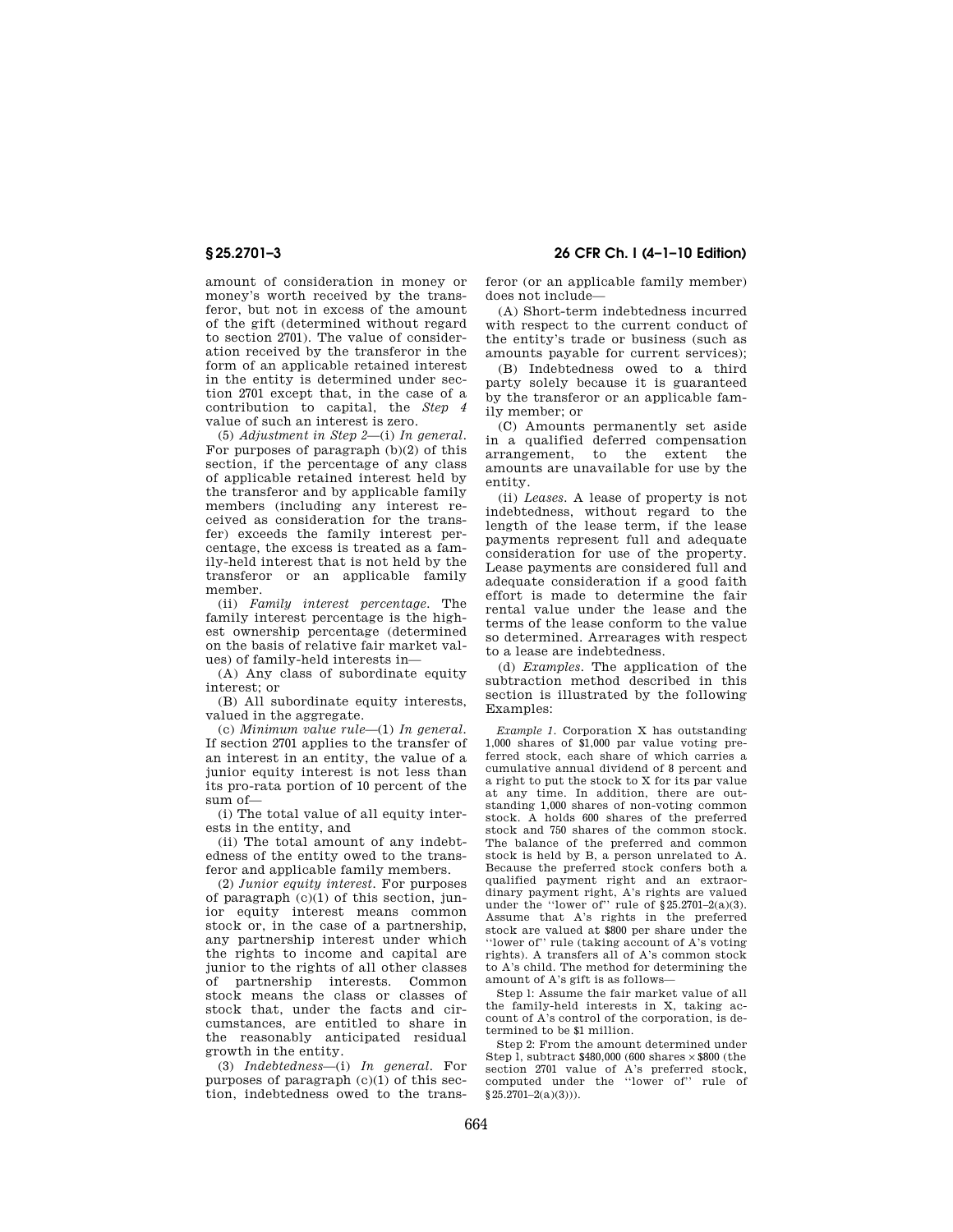**§ 25.2701–3 26 CFR Ch. I (4–1–10 Edition)** 

amount of consideration in money or money's worth received by the transferor, but not in excess of the amount of the gift (determined without regard to section 2701). The value of consideration received by the transferor in the form of an applicable retained interest

in the entity is determined under section 2701 except that, in the case of a contribution to capital, the *Step 4*  value of such an interest is zero.

(5) *Adjustment in Step 2*—(i) *In general.*  For purposes of paragraph (b)(2) of this section, if the percentage of any class of applicable retained interest held by the transferor and by applicable family members (including any interest received as consideration for the transfer) exceeds the family interest percentage, the excess is treated as a family-held interest that is not held by the transferor or an applicable family member.

(ii) *Family interest percentage.* The family interest percentage is the highest ownership percentage (determined on the basis of relative fair market values) of family-held interests in—

(A) Any class of subordinate equity interest; or

(B) All subordinate equity interests, valued in the aggregate.

(c) *Minimum value rule*—(1) *In general.*  If section 2701 applies to the transfer of an interest in an entity, the value of a junior equity interest is not less than its pro-rata portion of 10 percent of the sum of—

(i) The total value of all equity interests in the entity, and

(ii) The total amount of any indebtedness of the entity owed to the transferor and applicable family members.

(2) *Junior equity interest.* For purposes of paragraph (c)(1) of this section, junior equity interest means common stock or, in the case of a partnership, any partnership interest under which the rights to income and capital are junior to the rights of all other classes of partnership interests. Common stock means the class or classes of stock that, under the facts and circumstances, are entitled to share in the reasonably anticipated residual growth in the entity.

(3) *Indebtedness*—(i) *In general.* For purposes of paragraph  $(c)(1)$  of this section, indebtedness owed to the transferor (or an applicable family member) does not include—

(A) Short-term indebtedness incurred with respect to the current conduct of the entity's trade or business (such as amounts payable for current services);

(B) Indebtedness owed to a third party solely because it is guaranteed by the transferor or an applicable family member; or

(C) Amounts permanently set aside in a qualified deferred compensation arrangement, to the extent the amounts are unavailable for use by the

(ii) *Leases.* A lease of property is not indebtedness, without regard to the length of the lease term, if the lease payments represent full and adequate consideration for use of the property. Lease payments are considered full and adequate consideration if a good faith effort is made to determine the fair rental value under the lease and the terms of the lease conform to the value so determined. Arrearages with respect to a lease are indebtedness.

(d) *Examples.* The application of the subtraction method described in this section is illustrated by the following Examples:

*Example 1.* Corporation X has outstanding 1,000 shares of \$1,000 par value voting preferred stock, each share of which carries a cumulative annual dividend of 8 percent and a right to put the stock to X for its par value at any time. In addition, there are outstanding 1,000 shares of non-voting common stock. A holds 600 shares of the preferred stock and 750 shares of the common stock. The balance of the preferred and common stock is held by B, a person unrelated to A. Because the preferred stock confers both a qualified payment right and an extraordinary payment right, A's rights are valued under the "lower of" rule of  $\S 25.2701-2(a)(3)$ . Assume that A's rights in the preferred stock are valued at \$800 per share under the ''lower of'' rule (taking account of A's voting rights). A transfers all of A's common stock to A's child. The method for determining the amount of A's gift is as follows—

Step l: Assume the fair market value of all the family-held interests in X, taking account of A's control of the corporation, is determined to be \$1 million.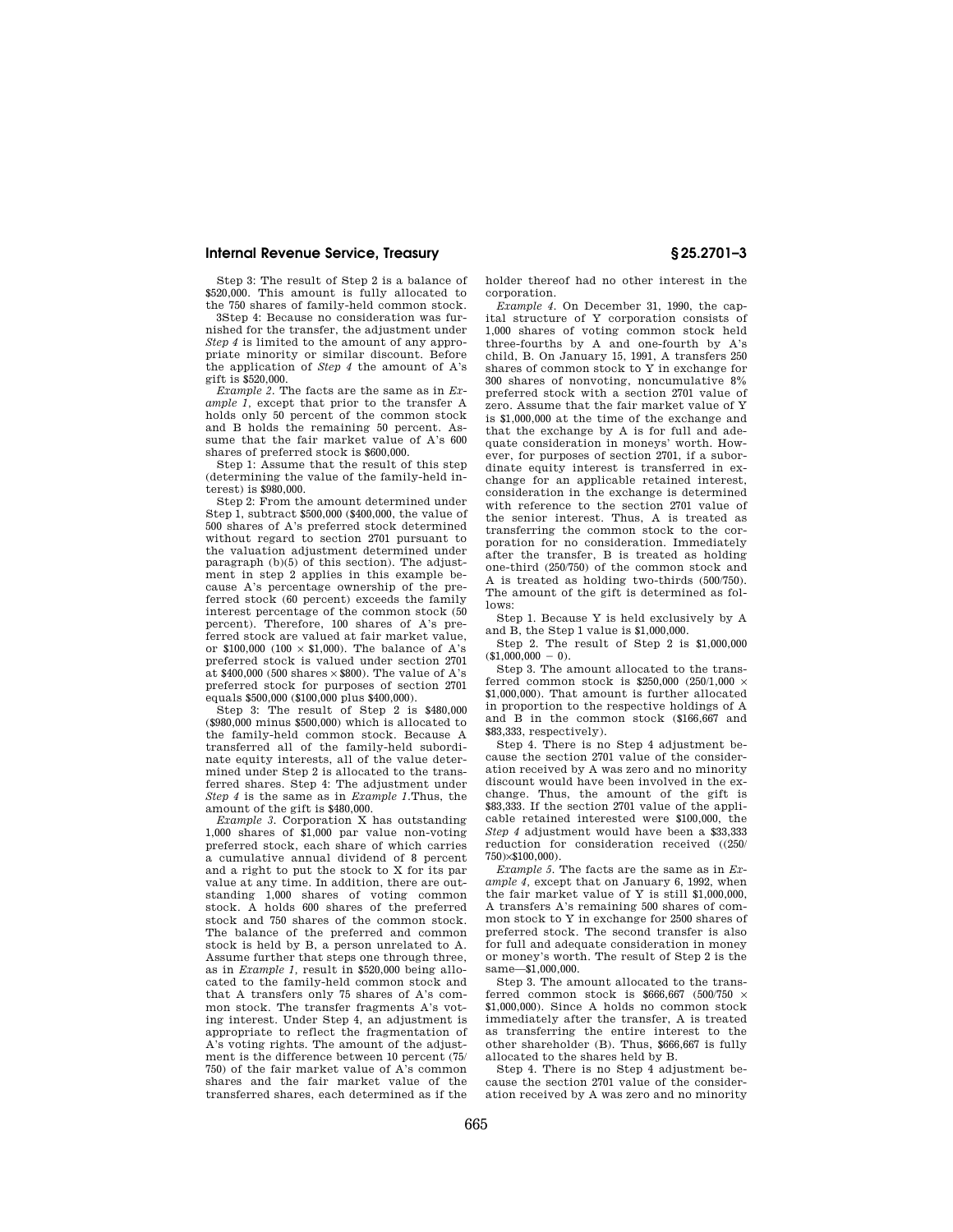### **Internal Revenue Service, Treasury § 25.2701–3**

Step 3: The result of Step 2 is a balance of \$520,000. This amount is fully allocated to the 750 shares of family-held common stock.

3Step 4: Because no consideration was furnished for the transfer, the adjustment under *Step 4* is limited to the amount of any appropriate minority or similar discount. Before the application of *Step 4* the amount of A's gift is \$520,000.

*Example 2.* The facts are the same as in *Example 1,* except that prior to the transfer A holds only 50 percent of the common stock and B holds the remaining 50 percent. Assume that the fair market value of A's 600 shares of preferred stock is \$600,000.

Step 1: Assume that the result of this step (determining the value of the family-held interest) is \$980,000.

Step 2: From the amount determined under Step 1, subtract  $$500,000$  (\$400,000, the value of 500 shares of A's preferred stock determined without regard to section 2701 pursuant to the valuation adjustment determined under paragraph (b)(5) of this section). The adjustment in step 2 applies in this example because A's percentage ownership of the preferred stock (60 percent) exceeds the family interest percentage of the common stock (50 percent). Therefore, 100 shares of A's preferred stock are valued at fair market value, or \$100,000 (100  $\times$  \$1,000). The balance of A's preferred stock is valued under section 2701 at  $$400,000$  (500 shares  $\times$800$ ). The value of A's preferred stock for purposes of section 2701 equals \$500,000 (\$100,000 plus \$400,000).

Step 3: The result of Step 2 is \$480,000 (\$980,000 minus \$500,000) which is allocated to the family-held common stock. Because A transferred all of the family-held subordinate equity interests, all of the value determined under Step 2 is allocated to the transferred shares. Step 4: The adjustment under *Step 4* is the same as in *Example 1.*Thus, the amount of the gift is \$480,000.

*Example 3.* Corporation X has outstanding 1,000 shares of \$1,000 par value non-voting preferred stock, each share of which carries a cumulative annual dividend of 8 percent and a right to put the stock to X for its par value at any time. In addition, there are outstanding 1,000 shares of voting common stock. A holds 600 shares of the preferred stock and 750 shares of the common stock. The balance of the preferred and common stock is held by B, a person unrelated to A. Assume further that steps one through three, as in *Example 1,* result in \$520,000 being allocated to the family-held common stock and that A transfers only 75 shares of A's common stock. The transfer fragments A's voting interest. Under Step 4, an adjustment is appropriate to reflect the fragmentation of A's voting rights. The amount of the adjustment is the difference between 10 percent (75/ 750) of the fair market value of A's common shares and the fair market value of the transferred shares, each determined as if the holder thereof had no other interest in the corporation.

*Example 4.* On December 31, 1990, the capital structure of Y corporation consists of 1,000 shares of voting common stock held three-fourths by A and one-fourth by A's child, B. On January 15, 1991, A transfers 250 shares of common stock to Y in exchange for 300 shares of nonvoting, noncumulative 8% preferred stock with a section 2701 value of zero. Assume that the fair market value of Y is \$1,000,000 at the time of the exchange and that the exchange by A is for full and adequate consideration in moneys' worth. However, for purposes of section 2701, if a subordinate equity interest is transferred in exchange for an applicable retained interest, consideration in the exchange is determined with reference to the section 2701 value of the senior interest. Thus, A is treated as transferring the common stock to the corporation for no consideration. Immediately after the transfer, B is treated as holding one-third (250/750) of the common stock and A is treated as holding two-thirds (500/750). The amount of the gift is determined as follows:

Step 1. Because Y is held exclusively by A and B, the Step 1 value is \$1,000,000.

Step 2. The result of Step 2 is \$1,000,000  $($1,000,000 - 0).$ 

Step 3. The amount allocated to the transferred common stock is \$250,000 (250/1,000  $\times$ \$1,000,000). That amount is further allocated in proportion to the respective holdings of A and B in the common stock (\$166,667 and \$83,333, respectively).

Step 4. There is no Step 4 adjustment because the section 2701 value of the consideration received by A was zero and no minority discount would have been involved in the exchange. Thus, the amount of the gift is \$83,333. If the section 2701 value of the applicable retained interested were \$100,000, the *Step 4* adjustment would have been a \$33,333 reduction for consideration received ((250/ 750)×\$100,000).

*Example 5.* The facts are the same as in *Example 4,* except that on January 6, 1992, when the fair market value of Y is still \$1,000,000, A transfers A's remaining 500 shares of common stock to Y in exchange for 2500 shares of preferred stock. The second transfer is also for full and adequate consideration in money or money's worth. The result of Step 2 is the same—\$1,000,000.

Step 3. The amount allocated to the transferred common stock is \$666,667 (500/750  $\times$ \$1,000,000). Since A holds no common stock immediately after the transfer, A is treated as transferring the entire interest to the other shareholder (B). Thus, \$666,667 is fully allocated to the shares held by B.

Step 4. There is no Step 4 adjustment because the section 2701 value of the consideration received by A was zero and no minority